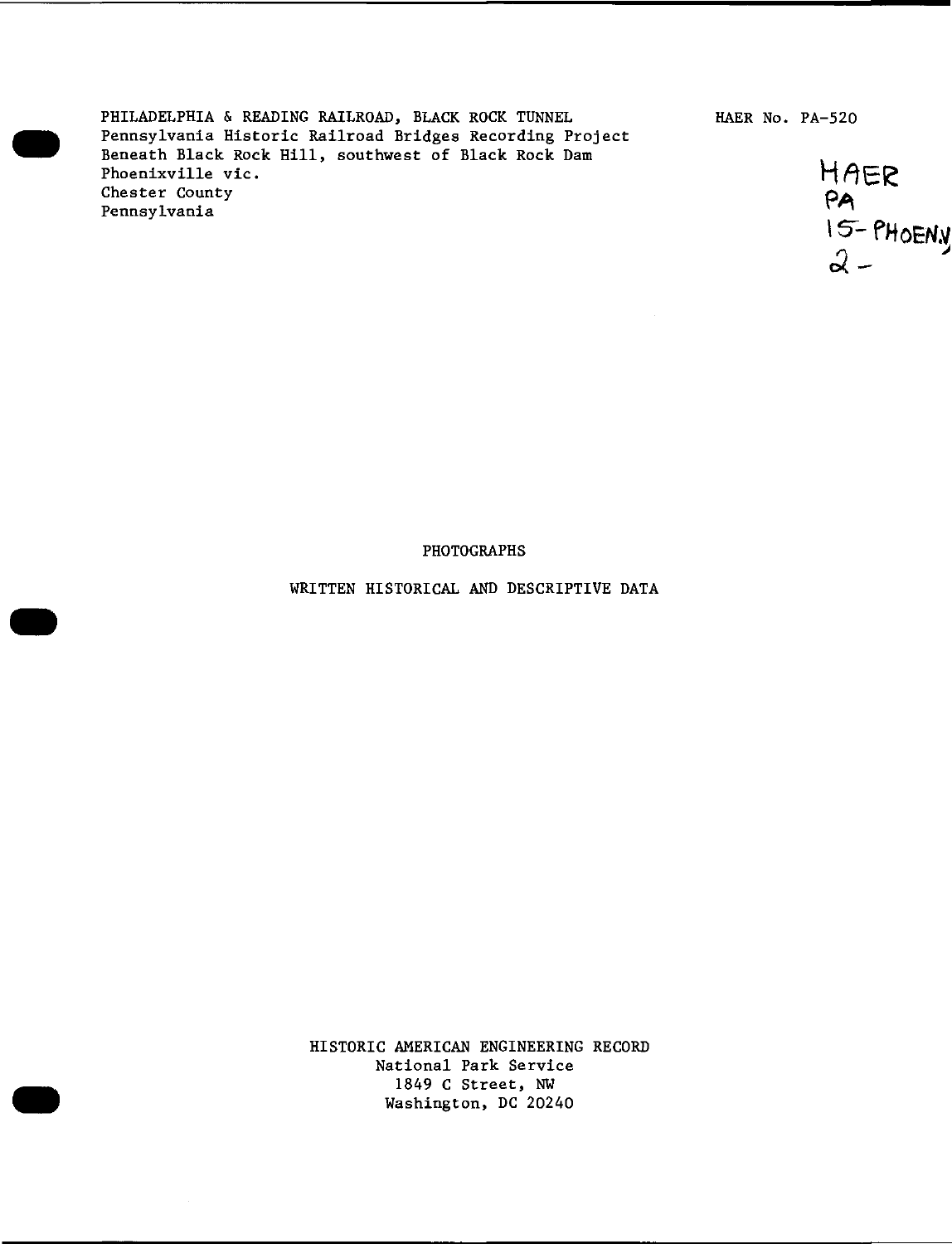PHILADELPHIA & READING RAILROAD, BLACK ROCK TUNNEL Pennsylvania Historic Railroad Bridges Recording Project Beneath Black Rock Hill, southwest of Black Rock Dam Phoenixville vie. Chester County Pennsylvania

HAER No. PA-520



#### PHOTOGRAPHS

WRITTEN HISTORICAL AND DESCRIPTIVE DATA

HISTORIC AMERICAN ENGINEERING RECORD National Park Service 1849 C Street, NW Washington, DC 20240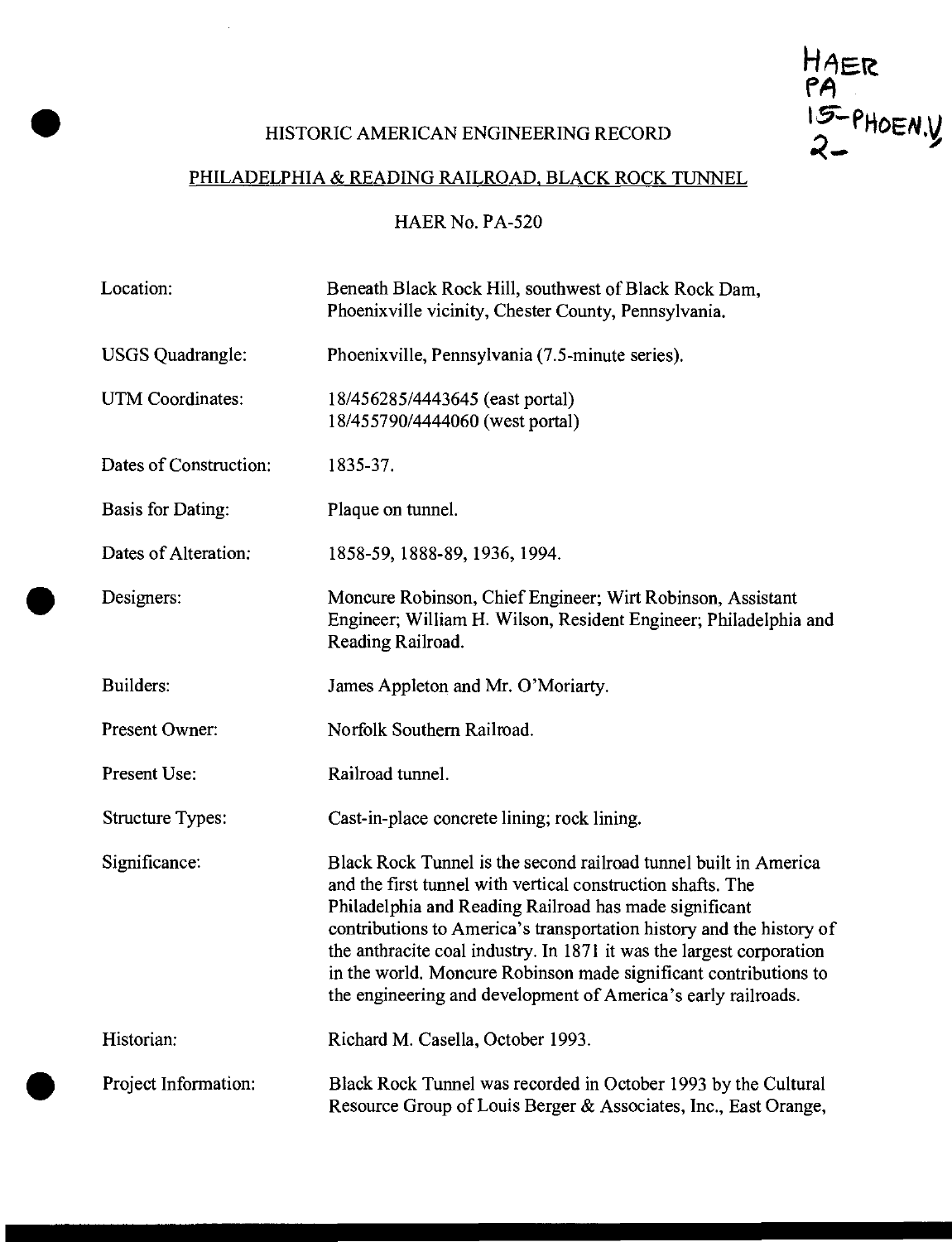# HISTORIC AMERICAN ENGINEERING RECORD

HAER<br>PA<br>15-PHOEN.Y

 $\sim 10$ 

# PHILADELPHIA & READING RAILROAD, BLACK ROCK TUNNEL

HAER No. PA-520

| Location:                | Beneath Black Rock Hill, southwest of Black Rock Dam,<br>Phoenixville vicinity, Chester County, Pennsylvania.                                                                                                                                                                                                                                                                                                                                                                  |
|--------------------------|--------------------------------------------------------------------------------------------------------------------------------------------------------------------------------------------------------------------------------------------------------------------------------------------------------------------------------------------------------------------------------------------------------------------------------------------------------------------------------|
| <b>USGS</b> Quadrangle:  | Phoenixville, Pennsylvania (7.5-minute series).                                                                                                                                                                                                                                                                                                                                                                                                                                |
| UTM Coordinates:         | 18/456285/4443645 (east portal)<br>18/455790/4444060 (west portal)                                                                                                                                                                                                                                                                                                                                                                                                             |
| Dates of Construction:   | 1835-37.                                                                                                                                                                                                                                                                                                                                                                                                                                                                       |
| <b>Basis for Dating:</b> | Plaque on tunnel.                                                                                                                                                                                                                                                                                                                                                                                                                                                              |
| Dates of Alteration:     | 1858-59, 1888-89, 1936, 1994.                                                                                                                                                                                                                                                                                                                                                                                                                                                  |
| Designers:               | Moncure Robinson, Chief Engineer; Wirt Robinson, Assistant<br>Engineer; William H. Wilson, Resident Engineer; Philadelphia and<br>Reading Railroad.                                                                                                                                                                                                                                                                                                                            |
| Builders:                | James Appleton and Mr. O'Moriarty.                                                                                                                                                                                                                                                                                                                                                                                                                                             |
| Present Owner:           | Norfolk Southern Railroad.                                                                                                                                                                                                                                                                                                                                                                                                                                                     |
| Present Use:             | Railroad tunnel.                                                                                                                                                                                                                                                                                                                                                                                                                                                               |
| <b>Structure Types:</b>  | Cast-in-place concrete lining; rock lining.                                                                                                                                                                                                                                                                                                                                                                                                                                    |
| Significance:            | Black Rock Tunnel is the second railroad tunnel built in America<br>and the first tunnel with vertical construction shafts. The<br>Philadelphia and Reading Railroad has made significant<br>contributions to America's transportation history and the history of<br>the anthracite coal industry. In 1871 it was the largest corporation<br>in the world. Moncure Robinson made significant contributions to<br>the engineering and development of America's early railroads. |
| Historian:               | Richard M. Casella, October 1993.                                                                                                                                                                                                                                                                                                                                                                                                                                              |
| Project Information:     | Black Rock Tunnel was recorded in October 1993 by the Cultural<br>Resource Group of Louis Berger & Associates, Inc., East Orange,                                                                                                                                                                                                                                                                                                                                              |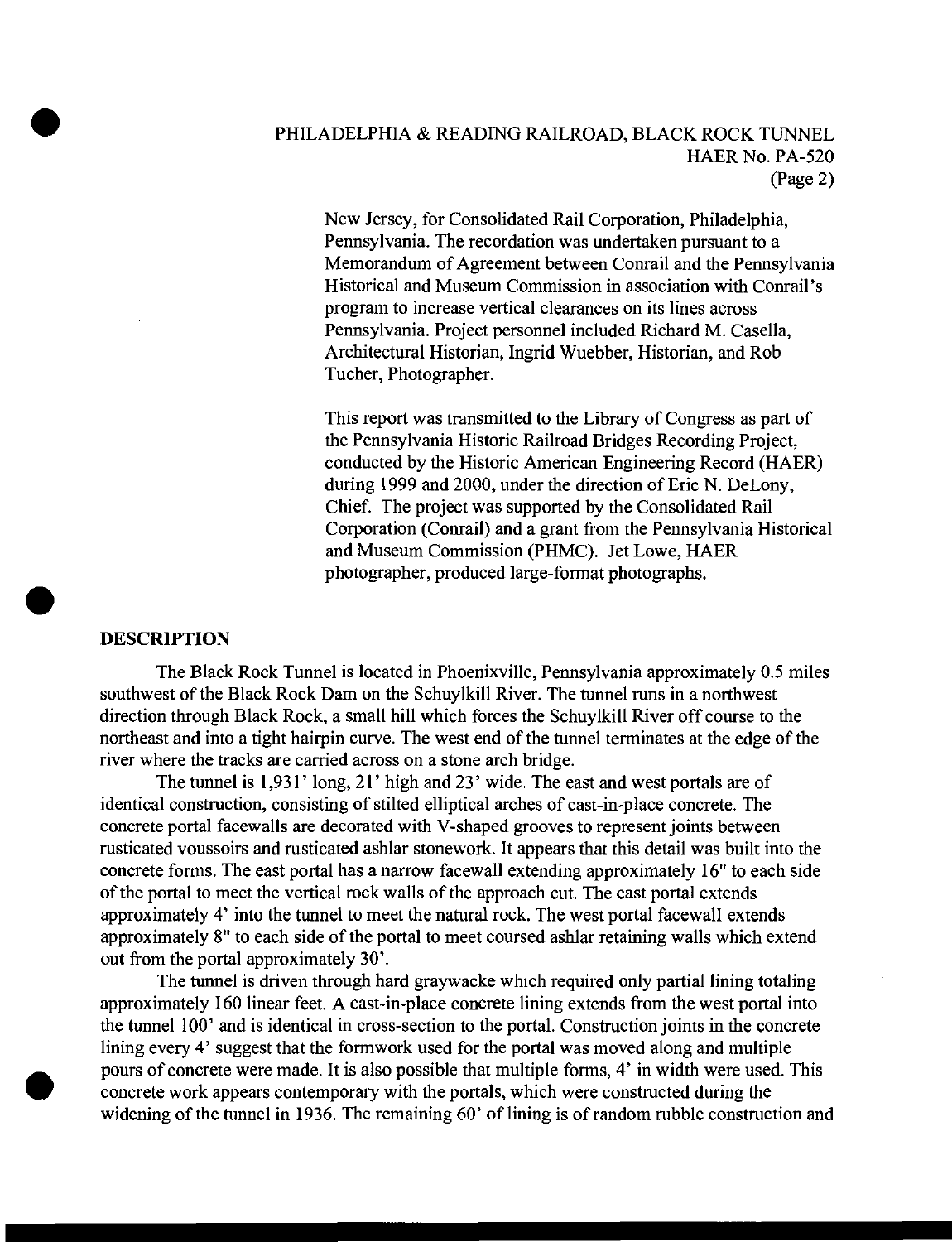# PHILADELPHIA & READING RAILROAD, BLACK ROCK TUNNEL HAER No. PA-520 (Page 2)

New Jersey, for Consolidated Rail Corporation, Philadelphia, Pennsylvania. The recordation was undertaken pursuant to a Memorandum of Agreement between Conrail and the Pennsylvania Historical and Museum Commission in association with Conrail's program to increase vertical clearances on its lines across Pennsylvania. Project personnel included Richard M. Casella, Architectural Historian, Ingrid Wuebber, Historian, and Rob Tucher, Photographer.

This report was transmitted to the Library of Congress as part of the Pennsylvania Historic Railroad Bridges Recording Project, conducted by the Historic American Engineering Record (HAER) during 1999 and 2000, under the direction of Eric N. DeLony, Chief. The project was supported by the Consolidated Rail Corporation (Conrail) and a grant from the Pennsylvania Historical and Museum Commission (PHMC). Jet Lowe, HAER photographer, produced large-format photographs.

# **DESCRIPTION**

The Black Rock Tunnel is located in Phoenixville, Pennsylvania approximately 0.5 miles southwest of the Black Rock Dam on the Schuylkill River. The tunnel runs in a northwest direction through Black Rock, a small hill which forces the Schuylkill River off course to the northeast and into a tight hairpin curve. The west end of the tunnel terminates at the edge of the river where the tracks are carried across on a stone arch bridge.

The tunnel is 1,931' long, 21' high and 23' wide. The east and west portals are of identical construction, consisting of stilted elliptical arches of cast-in-place concrete. The concrete portal facewalls are decorated with V-shaped grooves to represent joints between rusticated voussoirs and rusticated ashlar stonework. It appears that this detail was built into the concrete forms. The east portal has a narrow facewall extending approximately 16" to each side of the portal to meet the vertical rock walls of the approach cut. The east portal extends approximately 4' into the tunnel to meet the natural rock. The west portal facewall extends approximately  $8"$  to each side of the portal to meet coursed ashlar retaining walls which extend out from the portal approximately 30'.

The tunnel is driven through hard graywacke which required only partial lining totaling approximately 160 linear feet. A cast-in-place concrete lining extends from the west portal into the tunnel 100' and is identical in cross-section to the portal. Construction joints in the concrete lining every 4' suggest that the formwork used for the portal was moved along and multiple pours of concrete were made. It is also possible that multiple forms, 4' in width were used. This concrete work appears contemporary with the portals, which were constructed during the widening of the tunnel in 1936. The remaining 60' of lining is of random rubble construction and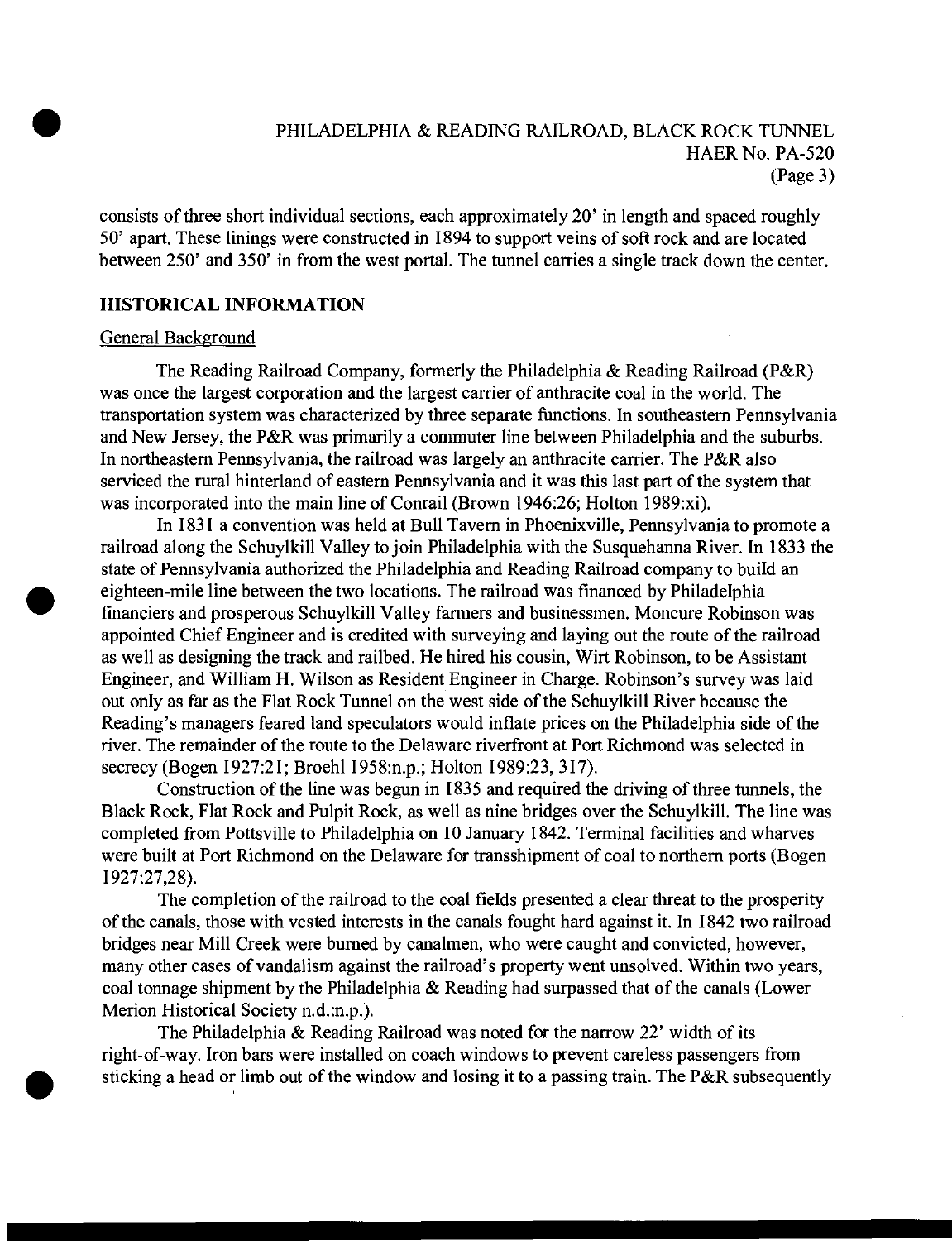# PHILADELPHIA & READING RAILROAD, BLACK ROCK TUNNEL HAER No. PA-520 (Page 3)

consists of three short individual sections, each approximately 20' in length and spaced roughly 50' apart. These linings were constructed in 1894 to support veins of soft rock and are located between 250' and 350' in from the west portal. The tunnel carries a single track down the center.

#### **HISTORICAL INFORMATION**

#### General Background

The Reading Railroad Company, formerly the Philadelphia & Reading Railroad (P&R) was once the largest corporation and the largest carrier of anthracite coal in the world. The transportation system was characterized by three separate functions. In southeastern Pennsylvania and New Jersey, the P&R was primarily a commuter line between Philadelphia and the suburbs. In northeastern Pennsylvania, the railroad was largely an anthracite carrier. The P&R also serviced the rural hinterland of eastern Pennsylvania and it was this last part of the system that was incorporated into the main line of Conrail (Brown 1946:26; Holton 1989:xi).

In 1831 a convention was held at Bull Tavern in Phoenixville, Pennsylvania to promote a railroad along the Schuylkill Valley to join Philadelphia with the Susquehanna River. In 1833 the state of Pennsylvania authorized the Philadelphia and Reading Railroad company to build an eighteen-mile line between the two locations. The railroad was financed by Philadelphia financiers and prosperous Schuylkill Valley farmers and businessmen. Moncure Robinson was appointed Chief Engineer and is credited with surveying and laying out the route of the railroad as well as designing the track and railbed. He hired his cousin, Wirt Robinson, to be Assistant Engineer, and William H. Wilson as Resident Engineer in Charge. Robinson's survey was laid out only as far as the Flat Rock Tunnel on the west side ofthe Schuylkill River because the Reading's managers feared land speculators would inflate prices on the Philadelphia side of the river. The remainder of the route to the Delaware riverfront at Port Richmond was selected in secrecy (Bogen 1927:21; Broehl 1958:n.p.; Holton 1989:23, 317).

Construction of the line was begun in 1835 and required the driving of three tunnels, the Black Rock, Flat Rock and Pulpit Rock, as well as nine bridges over the Schuylkill. The line was completed from Pottsville to Philadelphia on 10 January 1842. Terminal facilities and wharves were built at Port Richmond on the Delaware for transshipment of coal to northern ports (Bogen 1927:27,28).

The completion of the railroad to the coal fields presented a clear threat to the prosperity of the canals, those with vested interests in the canals fought hard against it. In 1842 two railroad bridges near Mill Creek were burned by canalmen, who were caught and convicted, however, many other cases of vandalism against the railroad's property went unsolved. Within two years, coal tonnage shipment by the Philadelphia & Reading had surpassed that of the canals (Lower Merion Historical Society n.d.:n.p.).

The Philadelphia & Reading Railroad was noted for the narrow  $22'$  width of its right-of-way. Iron bars were installed on coach windows to prevent careless passengers from sticking a head or limb out of the window and losing it to a passing train. The P&R subsequently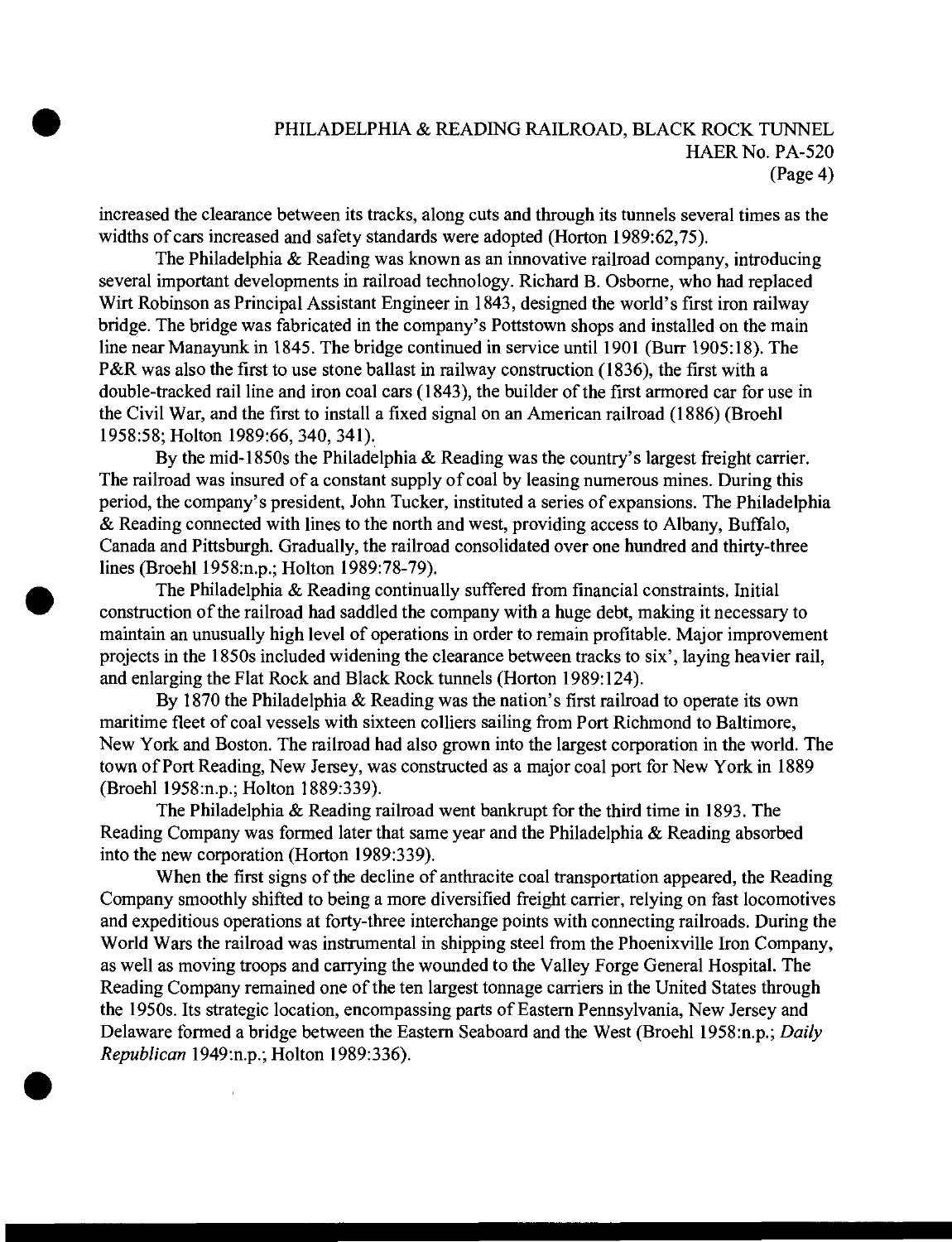# PHILADELPHIA & READING RAILROAD, BLACK ROCK TUNNEL HAER No. PA-520 (Page 4)

increased the clearance between its tracks, along cuts and through its tunnels several times as the widths of cars increased and safety standards were adopted (Horton 1989:62,75).

The Philadelphia & Reading was known as an innovative railroad company, introducing several important developments in railroad technology. Richard B. Osborne, who had replaced Wirt Robinson as Principal Assistant Engineer in 1843, designed the world's first iron railway bridge. The bridge was fabricated in the company's Pottstown shops and installed on the main line near Manayunk in 1845. The bridge continued in service until 1901 (Burr 1905:18). The P&R was also the first to use stone ballast in railway construction (1836), the first with a double-tracked rail line and iron coal cars (1843), the builder of the first armored car for use in the Civil War, and the first to install a fixed signal on an American railroad (1886) (Broehl 1958:58; Holton 1989:66, 340, 341).

By the mid-1850s the Philadelphia & Reading was the country's largest freight carrier. The railroad was insured of a constant supply of coal by leasing numerous mines. During this period, the company's president, John Tucker, instituted a series of expansions. The Philadelphia & Reading connected with lines to the north and west, providing access to Albany, Buffalo, Canada and Pittsburgh. Gradually, the railroad consolidated over one hundred and thirty-three lines (Broehl 1958:n.p.; Holton 1989:78-79).

The Philadelphia & Reading continually suffered from financial constraints. Initial construction of the railroad had saddled the company with a huge debt, making it necessary to maintain an unusually high level of operations in order to remain profitable. Major improvement projects in the 1850s included widening the clearance between tracks to six', laying heavier rail, and enlarging the Flat Rock and Black Rock tunnels (Horton 1989:124).

By 1870 the Philadelphia & Reading was the nation's first railroad to operate its own maritime fleet of coal vessels with sixteen colliers sailing from Port Richmond to Baltimore, New York and Boston. The railroad had also grown into the largest corporation in the world. The town of Port Reading, New Jersey, was constructed as a major coal port for New York in 1889 (Broehl 1958:n.p.; Holton 1889:339).

The Philadelphia & Reading railroad went bankrupt for the third time in 1893. The Reading Company was formed later that same year and the Philadelphia & Reading absorbed into the new corporation (Horton 1989:339).

When the first signs of the decline of anthracite coal transportation appeared, the Reading Company smoothly shifted to being a more diversified freight carrier, relying on fast locomotives and expeditious operations at forty-three interchange points with connecting railroads. During the World Wars the railroad was instrumental in shipping steel from the Phoenixville Iron Company, as well as moving troops and carrying the wounded to the Valley Forge General Hospital. The Reading Company remained one of the ten largest tonnage carriers in the United States through the 1950s. Its strategic location, encompassing parts of Eastern Pennsylvania, New Jersey and Delaware formed a bridge between the Eastern Seaboard and the West (Broehl 1958:n.p.; *Daily Republican* 1949:n.p.; Holton 1989:336).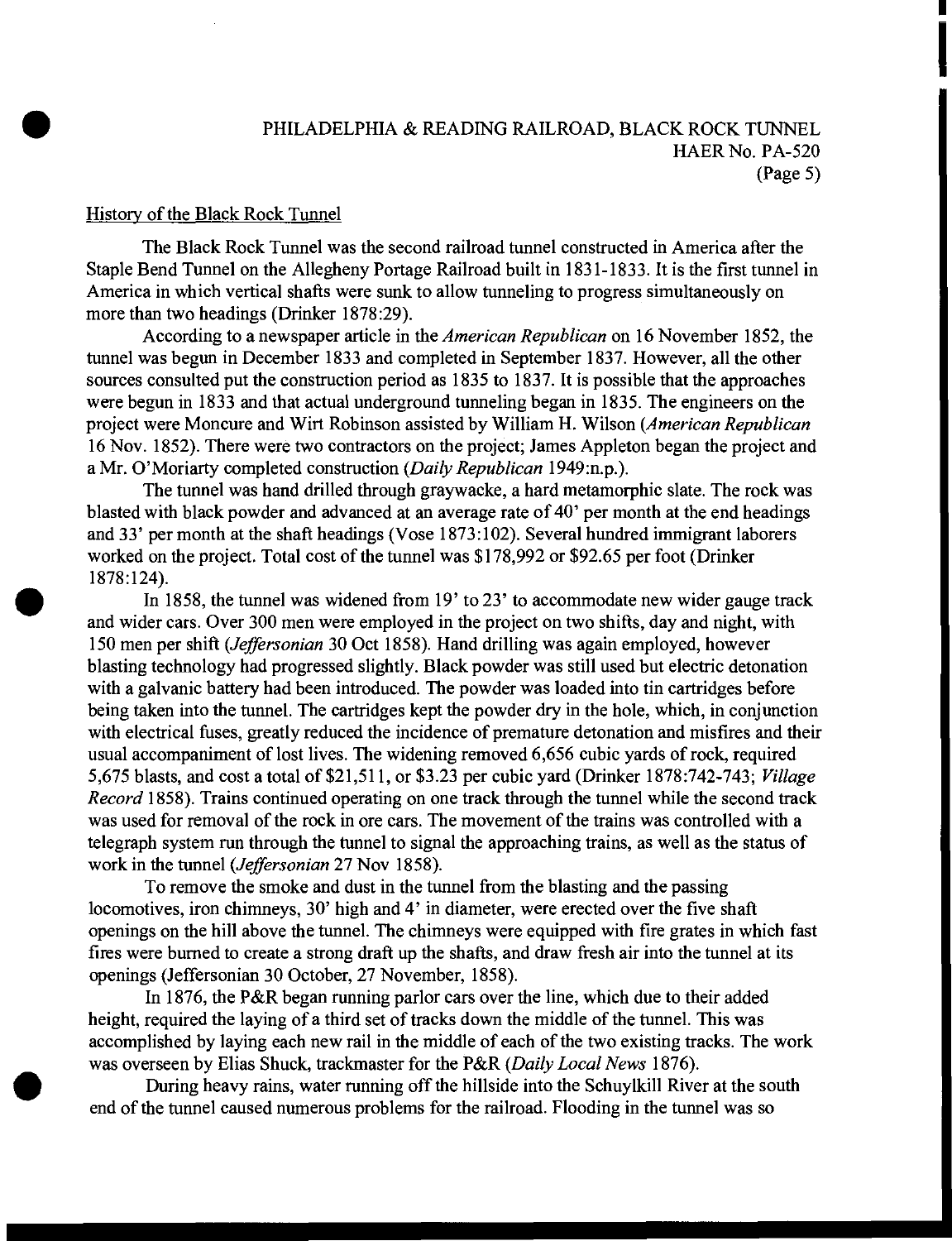# PHILADELPHIA & READING RAILROAD, BLACK ROCK TUNNEL HAER No. PA-520 (Page 5)

#### History of the Black Rock Tunnel

The Black Rock Tunnel was the second railroad tunnel constructed in America after the Staple Bend Tunnel on the Allegheny Portage Railroad built in 1831-1833. It is the first tunnel in America in which vertical shafts were sunk to allow tunneling to progress simultaneously on more than two headings (Drinker 1878:29).

According to a newspaper article in the *American Republican* on 16 November 1852, the tunnel was begun in December 1833 and completed in September 1837. However, all the other sources consulted put the construction period as 1835 to 1837. It is possible that the approaches were begun in 1833 and that actual underground tunneling began in 1835. The engineers on the project were Moncure and Wirt Robinson assisted by William H. Wilson *(American Republican* 16 Nov. 1852). There were two contractors on the project; James Appleton began the project and a Mr. O'Moriarty completed construction *(Daily Republican* 1949:n.p.).

The tunnel was hand drilled through graywacke, a hard metamorphic slate. The rock was blasted with black powder and advanced at an average rate of 40' per month at the end headings and 33' per month at the shaft headings (Vose 1873:102). Several hundred immigrant laborers worked on the project. Total cost of the tunnel was \$178,992 or \$92.65 per foot (Drinker 1878:124).

In 1858, the tunnel was widened from 19' to 23' to accommodate new wider gauge track and wider cars. Over 300 men were employed in the project on two shifts, day and night, with 150 men per shift *(Jeffersonian* 30 Oct 1858). Hand drilling was again employed, however blasting technology had progressed slightly. Black powder was still used but electric detonation with a galvanic battery had been introduced. The powder was loaded into tin cartridges before being taken into the tunnel. The cartridges kept the powder dry in the hole, which, in conjunction with electrical fuses, greatly reduced the incidence of premature detonation and misfires and their usual accompaniment of lost lives. The widening removed 6,656 cubic yards of rock, required 5,675 blasts, and cost a total of \$21,511, or \$3.23 per cubic yard (Drinker 1878:742-743; *Village Record* 1858). Trains continued operating on one track through the tunnel while the second track was used for removal of the rock in ore cars. The movement of the trains was controlled with a telegraph system run through the tunnel to signal the approaching trains, as well as the status of work in the tunnel *(Jeffersonian* 27 Nov 1858).

To remove the smoke and dust in the tunnel from the blasting and the passing locomotives, iron chimneys, 30' high and 4' in diameter, were erected over the five shaft openings on the hill above the tunnel. The chimneys were equipped with fire grates in which fast fires were burned to create a strong draft up the shafts, and draw fresh air into the tunnel at its openings (Jeffersonian 30 October, 27 November, 1858).

In 1876, the P&R began running parlor cars over the line, which due to their added height, required the laying of a third set of tracks down the middle of the tunnel. This was accomplished by laying each new rail in the middle of each of the two existing tracks. The work was overseen by Elias Shuck, trackmaster for the P&R *(Daily Local News* 1876).

During heavy rains, water running off the hillside into the Schuylkill River at the south end of the tunnel caused numerous problems for the railroad. Flooding in the tunnel was so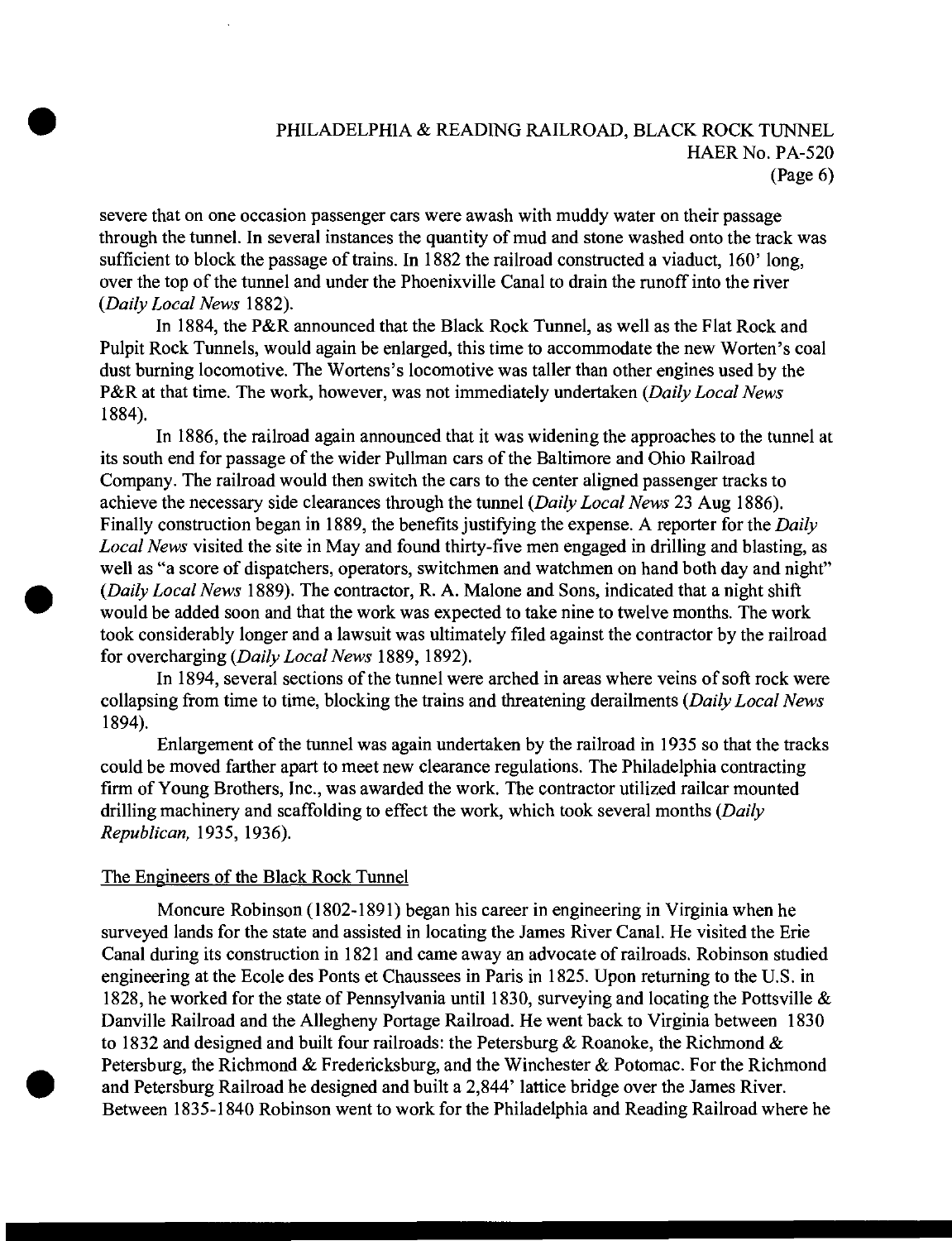# PHILADELPHIA & READING RAILROAD, BLACK ROCK TUNNEL HAER No. PA-520 (Page 6)

severe that on one occasion passenger cars were awash with muddy water on their passage through the tunnel. In several instances the quantity of mud and stone washed onto the track was sufficient to block the passage of trains. In 1882 the railroad constructed a viaduct,  $160'$  long, over the top of the tunnel and under the Phoenixville Canal to drain the runoff into the river *{Daily Local News* 1882).

In 1884, the P&R announced that the Black Rock Tunnel, as well as the Flat Rock and Pulpit Rock Tunnels, would again be enlarged, this time to accommodate the new Worten's coal dust burning locomotive. The Wortens's locomotive was taller than other engines used by the P&R at that time. The work, however, was not immediately undertaken *{Daily Local News* 1884).

In 1886, the railroad again announced that it was widening the approaches to the tunnel at its south end for passage of the wider Pullman cars of the Baltimore and Ohio Railroad Company. The railroad would then switch the cars to the center aligned passenger tracks to achieve the necessary side clearances through the tunnel *{Daily Local News* 23 Aug 1886). Finally construction began in 1889, the benefits justifying the expense. A reporter for the *Daily Local News* visited the site in May and found thirty-five men engaged in drilling and blasting, as well as "a score of dispatchers, operators, switchmen and watchmen on hand both day and night" *{Daily Local News* 1889). The contractor, R. A. Malone and Sons, indicated that a night shift would be added soon and that the work was expected to take nine to twelve months. The work took considerably longer and a lawsuit was ultimately filed against the contractor by the railroad for overcharging *{Daily Local News* 1889, 1892).

In 1894, several sections of the tunnel were arched in areas where veins of soft rock were collapsing from time to time, blocking the trains and threatening derailments *{Daily Local News* 1894).

Enlargement of the tunnel was again undertaken by the railroad in 1935 so that the tracks could be moved farther apart to meet new clearance regulations. The Philadelphia contracting firm of Young Brothers, Inc., was awarded the work. The contractor utilized railcar mounted drilling machinery and scaffolding to effect the work, which took several months *{Daily Republican,* 1935, 1936).

#### The Engineers of the Black Rock Tunnel

Moncure Robinson (1802-1891) began his career in engineering in Virginia when he surveyed lands for the state and assisted in locating the James River Canal. He visited the Erie Canal during its construction in 1821 and came away an advocate ofrailroads. Robinson studied engineering at the Ecole des Ponts et Chaussees in Paris in 1825. Upon returning to the U.S. in 1828, he worked for the state of Pennsylvania until 1830, surveying and locating the Pottsville & Danville Railroad and the Allegheny Portage Railroad. He went back to Virginia between 1830 to 1832 and designed and built four railroads: the Petersburg & Roanoke, the Richmond & Petersburg, the Richmond & Fredericksburg, and the Winchester & Potomac. For the Richmond and Petersburg Railroad he designed and built a 2,844' lattice bridge over the James River. Between 1835-1840 Robinson went to work for the Philadelphia and Reading Railroad where he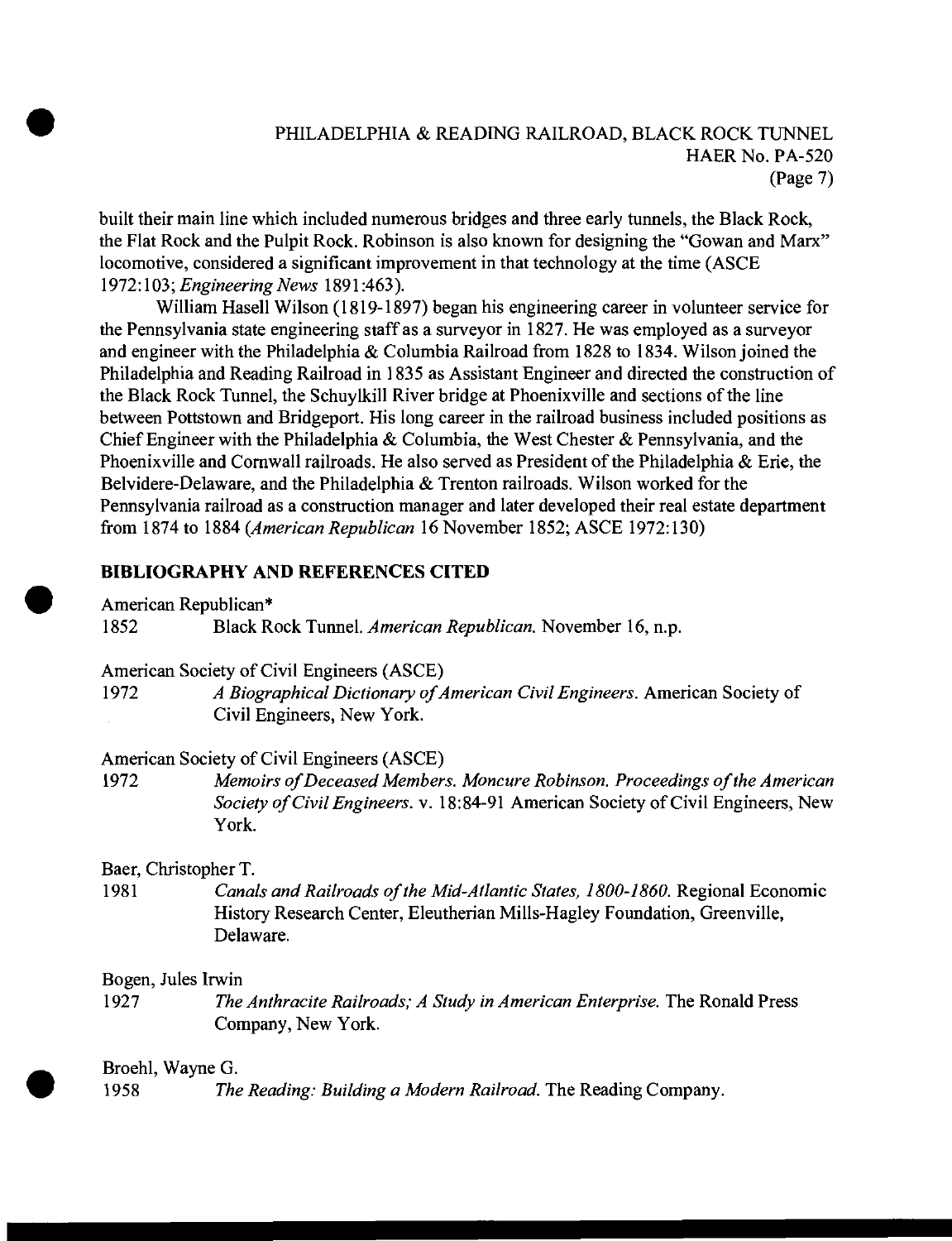# PHILADELPHIA & READING RAILROAD, BLACK ROCK TUNNEL HAER No. PA-520 (Page 7)

built their main line which included numerous bridges and three early tunnels, the Black Rock, the Flat Rock and the Pulpit Rock. Robinson is also known for designing the "Gowan and Marx" locomotive, considered a significant improvement in that technology at the time (ASCE 1972:103; *Engineering News* 1891:463).

William Hasell Wilson (1819-1897) began his engineering career in volunteer service for the Pennsylvania state engineering staff as a surveyor in 1827. He was employed as a surveyor and engineer with the Philadelphia & Columbia Railroad from 1828 to 1834. Wilson joined the Philadelphia and Reading Railroad in 1835 as Assistant Engineer and directed the construction of the Black Rock Tunnel, the Schuylkill River bridge at Phoenixville and sections of the line between Pottstown and Bridgeport. His long career in the railroad business included positions as Chief Engineer with the Philadelphia & Columbia, the West Chester & Pennsylvania, and the Phoenixville and Cornwall railroads. He also served as President of the Philadelphia & Erie, the Belvidere-Delaware, and the Philadelphia & Trenton railroads. Wilson worked for the Pennsylvania railroad as a construction manager and later developed their real estate department from 1874 to 1884 *(American Republican* 16 November 1852; ASCE 1972:130)

## **BIBLIOGRAPHY AND REFERENCES CITED**

American Republican\*

1852 Black Rock Tunnel. *American Republican.* November 16, n.p.

American Society of Civil Engineers (ASCE)

1972 *A Biographical Dictionary ofAmerican Civil Engineers.* American Society of Civil Engineers, New York.

## American Society of Civil Engineers (ASCE)

1972 *Memoirs ofDeceased Members. Moncure Robinson. Proceedings ofthe American Society ofCivil Engineers,* v. 18:84-91 American Society ofCivil Engineers, New York.

Baer, Christopher T.

1981 *Canals and Railroads of the Mid-Atlantic States, 1800-1860.* Regional Economic History Research Center, Eleutherian Mills-Hagley Foundation, Greenville, Delaware.

## Bogen, Jules Irwin

1927 *The Anthracite Railroads; A Study in American Enterprise.* The Ronald Press Company, New York.

## Broehl, Wayne G.

1958 *The Reading: Building a Modern Railroad.* The Reading Company.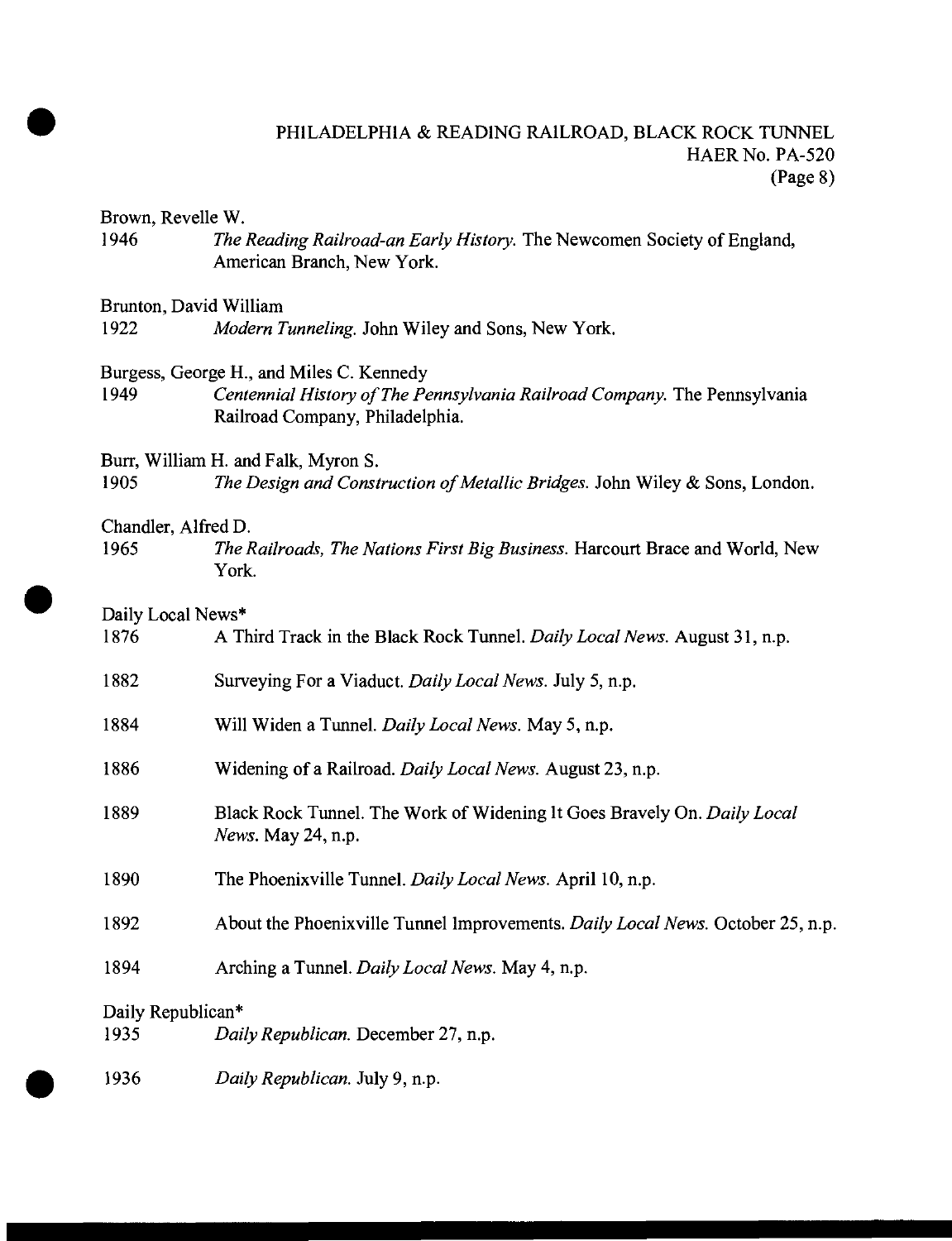# PHILADELPHIA & READING RAILROAD, BLACK ROCK TUNNEL HAER No. PA-520 (Page 8)

Brown, Revelle W.

1946 *The Reading Railroad-an Early History.* The Newcomen Society of England, American Branch, New York.

#### Brunton, David William

1922 *Modern Tunneling.* John Wiley and Sons, New York.

# Burgess, George H., and Miles C. Kennedy<br>1949 Centennial History of The Pe

1949 *Centennial History ofThe Pennsylvania Railroad Company.* The Pennsylvania Railroad Company, Philadelphia.

Burr, William H. and Falk, Myron S.

1905 *The Design and Construction of Metallic Bridges.* John Wiley & Sons, London.

#### Chandler, Alfred D.

1965 *The Railroads, The Nations First Big Business.* Harcourt Brace and World, New York.

## Daily Local News\*

| 1876                      | A Third Track in the Black Rock Tunnel. Daily Local News. August 31, n.p.                     |
|---------------------------|-----------------------------------------------------------------------------------------------|
| 1882                      | Surveying For a Viaduct. Daily Local News. July 5, n.p.                                       |
| 1884                      | Will Widen a Tunnel. Daily Local News. May 5, n.p.                                            |
| 1886                      | Widening of a Railroad. Daily Local News. August 23, n.p.                                     |
| 1889                      | Black Rock Tunnel. The Work of Widening It Goes Bravely On. Daily Local<br>News. May 24, n.p. |
| 1890                      | The Phoenixville Tunnel. Daily Local News. April 10, n.p.                                     |
| 1892                      | About the Phoenixville Tunnel Improvements. Daily Local News. October 25, n.p.                |
| 1894                      | Arching a Tunnel. Daily Local News. May 4, n.p.                                               |
| Daily Republican*<br>1935 | Daily Republican. December 27, n.p.                                                           |

1936 *Daily Republican.* July 9, n.p.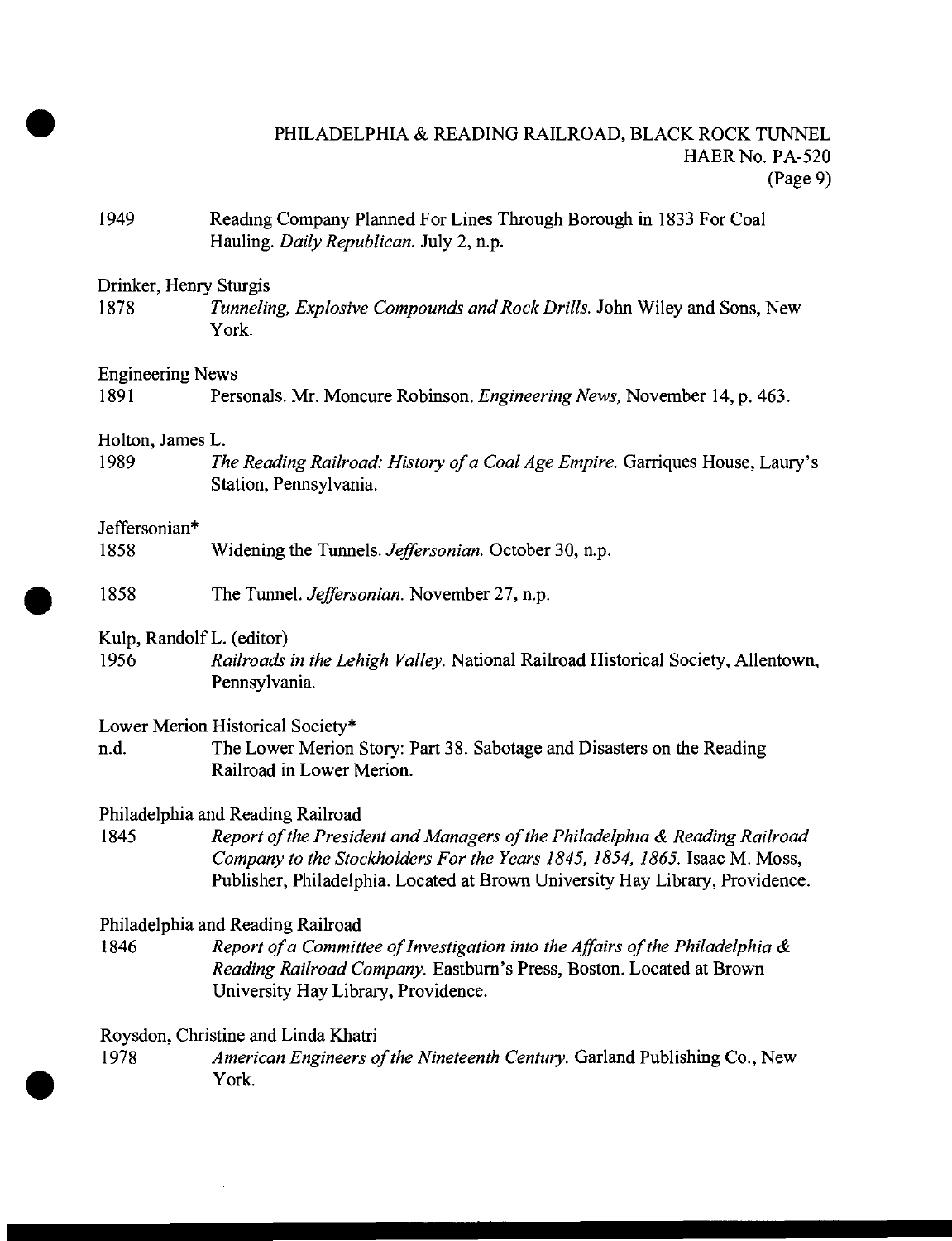# PHILADELPHIA & READING RAILROAD, BLACK ROCK TUNNEL HAER No. PA-520 (Page 9)

1949 Reading Company Planned For Lines Through Borough in 1833 For Coal Hauling. *Daily Republican.* July 2, n.p.

## Drinker, Henry Sturgis

1878 *Tunneling, Explosive Compounds andRock Drills.* John Wiley and Sons, New York.

#### Engineering News

1891 Personals. Mr. Moncure Robinson. *Engineering News,* November 14, p. 463.

#### Holton, James L.

1989 *The Reading Railroad: History ofa CoalAge Empire.* Garriques House, Laury's Station, Pennsylvania.

#### Jeffersonian\*

- 1858 Widening the Tunnels. *Jeffersonian.* October 30, n.p.
- 1858 The Tunnel. *Jeffersonian.* November 27, n.p.

#### Kulp, Randolf L. (editor)

1956 *Railroads in the Lehigh Valley.* National Railroad Historical Society, Allentown, Pennsylvania.

#### Lower Merion Historical Society\*

n.d. The Lower Merion Story: Part 38. Sabotage and Disasters on the Reading Railroad in Lower Merion.

#### Philadelphia and Reading Railroad

1845 *Report ofthe President and Managers ofthe Philadelphia & Reading Railroad Company to the Stockholders For the Years 1845, 1854, 1865.* Isaac M. Moss, Publisher, Philadelphia. Located at Brown University Hay Library, Providence.

## Philadelphia and Reading Railroad

1846 *Report ofa Committee ofInvestigation into the Affairs ofthe Philadelphia & Reading Railroad Company.* Eastburn's Press, Boston. Located at Brown University Hay Library, Providence.

#### Roysdon, Christine and Linda Khatri

1978 *American Engineers ofthe Nineteenth Century.* Garland Publishing Co., New York.